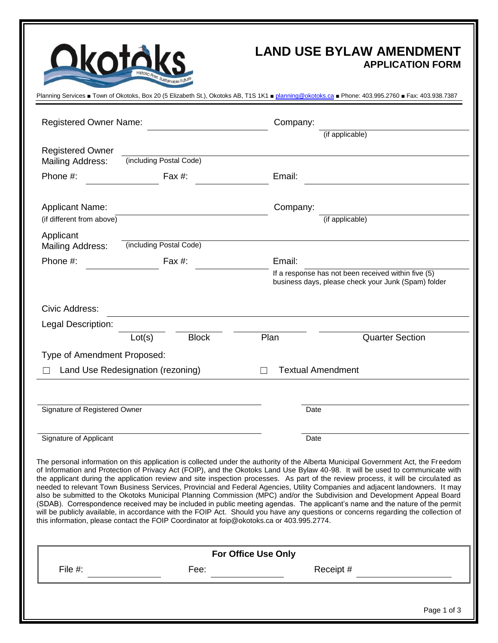

## **LAND USE BYLAW AMENDMENT APPLICATION FORM**

| <b>Registered Owner Name:</b>       |                                                                                           | Company:                                                                                                                                                                                                                                                                                                                                                                                                                                                                                                                                                                                                                                                                                                                                                                                                                                                                                                                                      |                        |  |
|-------------------------------------|-------------------------------------------------------------------------------------------|-----------------------------------------------------------------------------------------------------------------------------------------------------------------------------------------------------------------------------------------------------------------------------------------------------------------------------------------------------------------------------------------------------------------------------------------------------------------------------------------------------------------------------------------------------------------------------------------------------------------------------------------------------------------------------------------------------------------------------------------------------------------------------------------------------------------------------------------------------------------------------------------------------------------------------------------------|------------------------|--|
|                                     |                                                                                           | (if applicable)                                                                                                                                                                                                                                                                                                                                                                                                                                                                                                                                                                                                                                                                                                                                                                                                                                                                                                                               |                        |  |
| <b>Registered Owner</b>             |                                                                                           |                                                                                                                                                                                                                                                                                                                                                                                                                                                                                                                                                                                                                                                                                                                                                                                                                                                                                                                                               |                        |  |
| <b>Mailing Address:</b>             | (including Postal Code)                                                                   |                                                                                                                                                                                                                                                                                                                                                                                                                                                                                                                                                                                                                                                                                                                                                                                                                                                                                                                                               |                        |  |
| Phone #:                            | Fax #:                                                                                    | Email:                                                                                                                                                                                                                                                                                                                                                                                                                                                                                                                                                                                                                                                                                                                                                                                                                                                                                                                                        |                        |  |
| <b>Applicant Name:</b>              |                                                                                           | Company:                                                                                                                                                                                                                                                                                                                                                                                                                                                                                                                                                                                                                                                                                                                                                                                                                                                                                                                                      |                        |  |
| (if different from above)           |                                                                                           | (if applicable)                                                                                                                                                                                                                                                                                                                                                                                                                                                                                                                                                                                                                                                                                                                                                                                                                                                                                                                               |                        |  |
| Applicant                           | (including Postal Code)                                                                   |                                                                                                                                                                                                                                                                                                                                                                                                                                                                                                                                                                                                                                                                                                                                                                                                                                                                                                                                               |                        |  |
| <b>Mailing Address:</b><br>Phone #: | Fax #:                                                                                    | Email:                                                                                                                                                                                                                                                                                                                                                                                                                                                                                                                                                                                                                                                                                                                                                                                                                                                                                                                                        |                        |  |
|                                     |                                                                                           | If a response has not been received within five (5)<br>business days, please check your Junk (Spam) folder                                                                                                                                                                                                                                                                                                                                                                                                                                                                                                                                                                                                                                                                                                                                                                                                                                    |                        |  |
| Civic Address:                      |                                                                                           |                                                                                                                                                                                                                                                                                                                                                                                                                                                                                                                                                                                                                                                                                                                                                                                                                                                                                                                                               |                        |  |
| Legal Description:                  |                                                                                           |                                                                                                                                                                                                                                                                                                                                                                                                                                                                                                                                                                                                                                                                                                                                                                                                                                                                                                                                               |                        |  |
|                                     | <b>Block</b><br>Lot(s)                                                                    | Plan                                                                                                                                                                                                                                                                                                                                                                                                                                                                                                                                                                                                                                                                                                                                                                                                                                                                                                                                          | <b>Quarter Section</b> |  |
| Type of Amendment Proposed:         |                                                                                           |                                                                                                                                                                                                                                                                                                                                                                                                                                                                                                                                                                                                                                                                                                                                                                                                                                                                                                                                               |                        |  |
|                                     | Land Use Redesignation (rezoning)                                                         | <b>Textual Amendment</b>                                                                                                                                                                                                                                                                                                                                                                                                                                                                                                                                                                                                                                                                                                                                                                                                                                                                                                                      |                        |  |
|                                     |                                                                                           |                                                                                                                                                                                                                                                                                                                                                                                                                                                                                                                                                                                                                                                                                                                                                                                                                                                                                                                                               |                        |  |
| Signature of Registered Owner       |                                                                                           | Date                                                                                                                                                                                                                                                                                                                                                                                                                                                                                                                                                                                                                                                                                                                                                                                                                                                                                                                                          |                        |  |
|                                     |                                                                                           |                                                                                                                                                                                                                                                                                                                                                                                                                                                                                                                                                                                                                                                                                                                                                                                                                                                                                                                                               |                        |  |
| Signature of Applicant              |                                                                                           | Date                                                                                                                                                                                                                                                                                                                                                                                                                                                                                                                                                                                                                                                                                                                                                                                                                                                                                                                                          |                        |  |
|                                     | this information, please contact the FOIP Coordinator at foip@okotoks.ca or 403.995.2774. | The personal information on this application is collected under the authority of the Alberta Municipal Government Act, the Freedom<br>of Information and Protection of Privacy Act (FOIP), and the Okotoks Land Use Bylaw 40-98. It will be used to communicate with<br>the applicant during the application review and site inspection processes. As part of the review process, it will be circulated as<br>needed to relevant Town Business Services, Provincial and Federal Agencies, Utility Companies and adjacent landowners. It may<br>also be submitted to the Okotoks Municipal Planning Commission (MPC) and/or the Subdivision and Development Appeal Board<br>(SDAB). Correspondence received may be included in public meeting agendas. The applicant's name and the nature of the permit<br>will be publicly available, in accordance with the FOIP Act. Should you have any questions or concerns regarding the collection of |                        |  |
|                                     |                                                                                           |                                                                                                                                                                                                                                                                                                                                                                                                                                                                                                                                                                                                                                                                                                                                                                                                                                                                                                                                               |                        |  |
|                                     |                                                                                           | <b>For Office Use Only</b>                                                                                                                                                                                                                                                                                                                                                                                                                                                                                                                                                                                                                                                                                                                                                                                                                                                                                                                    |                        |  |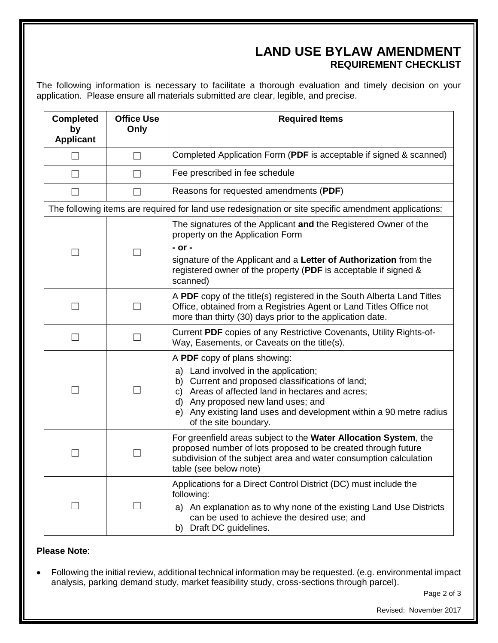## **LAND USE BYLAW AMENDMENT REQUIREMENT CHECKLIST**

The following information is necessary to facilitate a thorough evaluation and timely decision on your application. Please ensure all materials submitted are clear, legible, and precise.

| <b>Completed</b><br>by<br><b>Applicant</b>                                                           | <b>Office Use</b><br>Only | <b>Required Items</b>                                                                                                                                                                                                                                                                                                         |  |
|------------------------------------------------------------------------------------------------------|---------------------------|-------------------------------------------------------------------------------------------------------------------------------------------------------------------------------------------------------------------------------------------------------------------------------------------------------------------------------|--|
|                                                                                                      | $\Box$                    | Completed Application Form (PDF is acceptable if signed & scanned)                                                                                                                                                                                                                                                            |  |
|                                                                                                      |                           | Fee prescribed in fee schedule                                                                                                                                                                                                                                                                                                |  |
|                                                                                                      |                           | Reasons for requested amendments (PDF)                                                                                                                                                                                                                                                                                        |  |
| The following items are required for land use redesignation or site specific amendment applications: |                           |                                                                                                                                                                                                                                                                                                                               |  |
|                                                                                                      |                           | The signatures of the Applicant and the Registered Owner of the<br>property on the Application Form<br>- or -<br>signature of the Applicant and a Letter of Authorization from the<br>registered owner of the property (PDF is acceptable if signed &<br>scanned)                                                             |  |
|                                                                                                      |                           | A PDF copy of the title(s) registered in the South Alberta Land Titles<br>Office, obtained from a Registries Agent or Land Titles Office not<br>more than thirty (30) days prior to the application date.                                                                                                                     |  |
|                                                                                                      |                           | Current PDF copies of any Restrictive Covenants, Utility Rights-of-<br>Way, Easements, or Caveats on the title(s).                                                                                                                                                                                                            |  |
|                                                                                                      |                           | A PDF copy of plans showing:<br>a) Land involved in the application;<br>Current and proposed classifications of land;<br>b)<br>Areas of affected land in hectares and acres;<br>C)<br>Any proposed new land uses; and<br>d)<br>Any existing land uses and development within a 90 metre radius<br>e)<br>of the site boundary. |  |
|                                                                                                      |                           | For greenfield areas subject to the Water Allocation System, the<br>proposed number of lots proposed to be created through future<br>subdivision of the subject area and water consumption calculation<br>table (see below note)                                                                                              |  |
|                                                                                                      |                           | Applications for a Direct Control District (DC) must include the<br>following:<br>a) An explanation as to why none of the existing Land Use Districts<br>can be used to achieve the desired use; and<br>b) Draft DC guidelines.                                                                                               |  |

## **Please Note**:

 Following the initial review, additional technical information may be requested. (e.g. environmental impact analysis, parking demand study, market feasibility study, cross-sections through parcel).

Page 2 of 3

Revised: November 2017